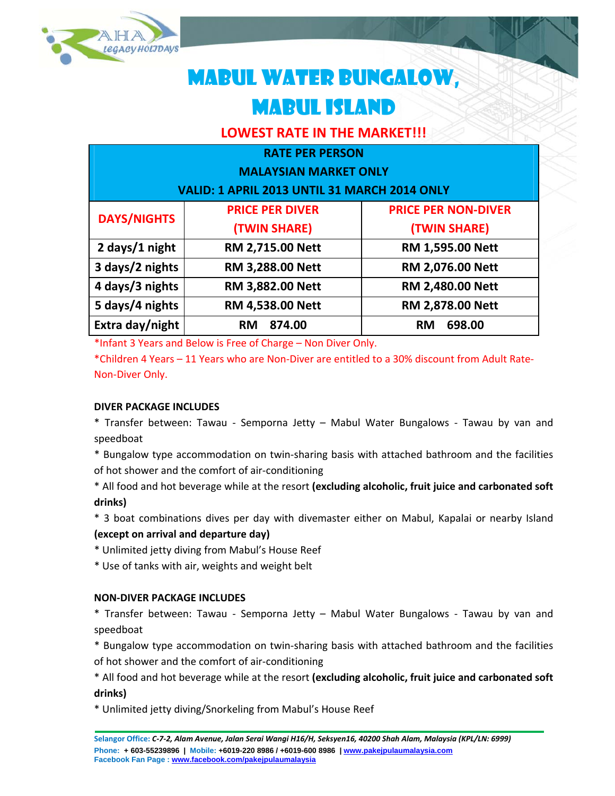

# MABUL WATER BUNGALOW, MABUL ISLAND

## **LOWEST RATE IN THE MARKET!!!**

## **RATE PER PERSON**

## **MALAYSIAN MARKET ONLY**

**VALID: 1 APRIL 2013 UNTIL 31 MARCH 2014 ONLY**

| <b>DAYS/NIGHTS</b> | <b>PRICE PER DIVER</b>  | <b>PRICE PER NON-DIVER</b> |
|--------------------|-------------------------|----------------------------|
|                    | (TWIN SHARE)            | (TWIN SHARE)               |
| 2 days/1 night     | <b>RM 2,715.00 Nett</b> | <b>RM 1,595.00 Nett</b>    |
| 3 days/2 nights    | <b>RM 3,288.00 Nett</b> | <b>RM 2,076.00 Nett</b>    |
| 4 days/3 nights    | <b>RM 3,882.00 Nett</b> | <b>RM 2,480.00 Nett</b>    |
| 5 days/4 nights    | <b>RM 4,538.00 Nett</b> | <b>RM 2,878.00 Nett</b>    |
| Extra day/night    | 874.00<br><b>RM</b>     | 698.00<br><b>RM</b>        |

\*Infant 3 Years and Below is Free of Charge – Non Diver Only.

\*Children 4 Years – 11 Years who are Non‐Diver are entitled to a 30% discount from Adult Rate‐ Non‐Diver Only.

## **DIVER PACKAGE INCLUDES**

\* Transfer between: Tawau ‐ Semporna Jetty – Mabul Water Bungalows ‐ Tawau by van and speedboat

\* Bungalow type accommodation on twin‐sharing basis with attached bathroom and the facilities of hot shower and the comfort of air‐conditioning

\* All food and hot beverage while at the resort **(excluding alcoholic, fruit juice and carbonated soft drinks)**

\* 3 boat combinations dives per day with divemaster either on Mabul, Kapalai or nearby Island **(except on arrival and departure day)**

\* Unlimited jetty diving from Mabul's House Reef

\* Use of tanks with air, weights and weight belt

## **NON‐DIVER PACKAGE INCLUDES**

\* Transfer between: Tawau ‐ Semporna Jetty – Mabul Water Bungalows ‐ Tawau by van and speedboat

\* Bungalow type accommodation on twin‐sharing basis with attached bathroom and the facilities of hot shower and the comfort of air‐conditioning

\* All food and hot beverage while at the resort **(excluding alcoholic, fruit juice and carbonated soft drinks)**

\* Unlimited jetty diving/Snorkeling from Mabul's House Reef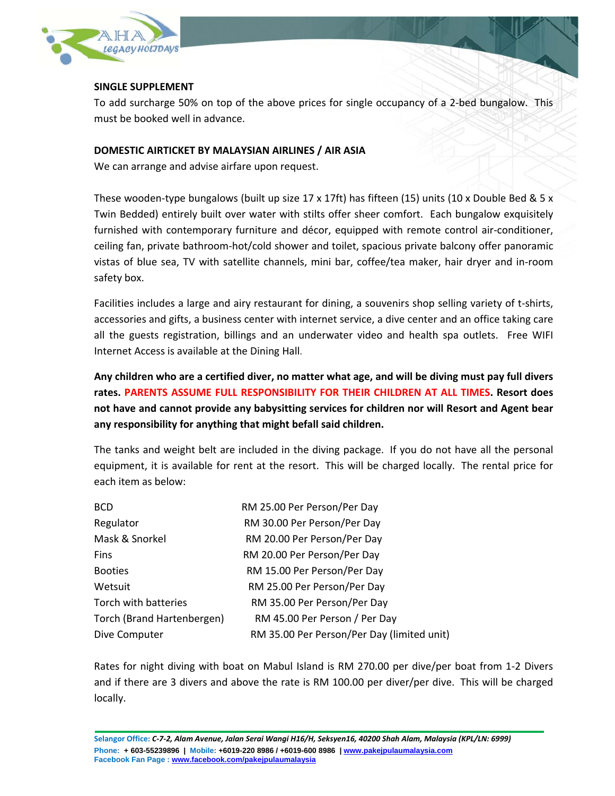

#### **SINGLE SUPPLEMENT**

To add surcharge 50% on top of the above prices for single occupancy of a 2‐bed bungalow. This must be booked well in advance.

#### **DOMESTIC AIRTICKET BY MALAYSIAN AIRLINES / AIR ASIA**

We can arrange and advise airfare upon request.

These wooden-type bungalows (built up size 17 x 17ft) has fifteen (15) units (10 x Double Bed & 5 x Twin Bedded) entirely built over water with stilts offer sheer comfort. Each bungalow exquisitely furnished with contemporary furniture and décor, equipped with remote control air‐conditioner, ceiling fan, private bathroom‐hot/cold shower and toilet, spacious private balcony offer panoramic vistas of blue sea, TV with satellite channels, mini bar, coffee/tea maker, hair dryer and in‐room safety box.

Facilities includes a large and airy restaurant for dining, a souvenirs shop selling variety of t-shirts, accessories and gifts, a business center with internet service, a dive center and an office taking care all the guests registration, billings and an underwater video and health spa outlets. Free WIFI Internet Access is available at the Dining Hall.

Any children who are a certified diver, no matter what age, and will be diving must pay full divers **rates. PARENTS ASSUME FULL RESPONSIBILITY FOR THEIR CHILDREN AT ALL TIMES. Resort does not have and cannot provide any babysitting services for children nor will Resort and Agent bear any responsibility for anything that might befall said children.**

The tanks and weight belt are included in the diving package. If you do not have all the personal equipment, it is available for rent at the resort. This will be charged locally. The rental price for each item as below:

| <b>BCD</b>                 | RM 25.00 Per Person/Per Day                |  |  |  |
|----------------------------|--------------------------------------------|--|--|--|
| Regulator                  | RM 30.00 Per Person/Per Day                |  |  |  |
| Mask & Snorkel             | RM 20.00 Per Person/Per Day                |  |  |  |
| <b>Fins</b>                | RM 20.00 Per Person/Per Day                |  |  |  |
| <b>Booties</b>             | RM 15.00 Per Person/Per Day                |  |  |  |
| Wetsuit                    | RM 25.00 Per Person/Per Day                |  |  |  |
| Torch with batteries       | RM 35.00 Per Person/Per Day                |  |  |  |
| Torch (Brand Hartenbergen) | RM 45.00 Per Person / Per Day              |  |  |  |
| Dive Computer              | RM 35.00 Per Person/Per Day (limited unit) |  |  |  |

Rates for night diving with boat on Mabul Island is RM 270.00 per dive/per boat from 1‐2 Divers and if there are 3 divers and above the rate is RM 100.00 per diver/per dive. This will be charged locally.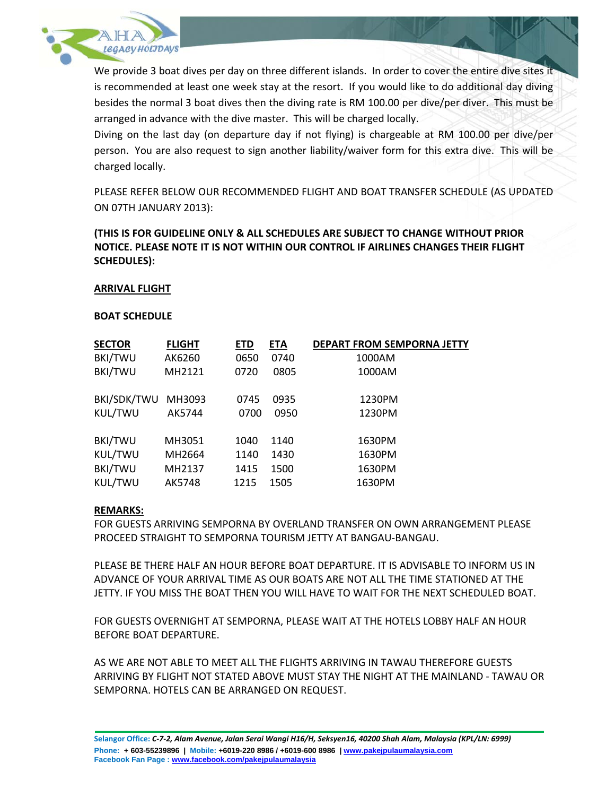

We provide 3 boat dives per day on three different islands. In order to cover the entire dive sites it is recommended at least one week stay at the resort. If you would like to do additional day diving besides the normal 3 boat dives then the diving rate is RM 100.00 per dive/per diver. This must be arranged in advance with the dive master. This will be charged locally.

Diving on the last day (on departure day if not flying) is chargeable at RM 100.00 per dive/per person. You are also request to sign another liability/waiver form for this extra dive. This will be charged locally.

PLEASE REFER BELOW OUR RECOMMENDED FLIGHT AND BOAT TRANSFER SCHEDULE (AS UPDATED ON 07TH JANUARY 2013):

## **(THIS IS FOR GUIDELINE ONLY & ALL SCHEDULES ARE SUBJECT TO CHANGE WITHOUT PRIOR NOTICE. PLEASE NOTE IT IS NOT WITHIN OUR CONTROL IF AIRLINES CHANGES THEIR FLIGHT SCHEDULES):**

#### **ARRIVAL FLIGHT**

#### **BOAT SCHEDULE**

| <b>FLIGHT</b> | ETD  | <b>ETA</b> | <b>DEPART FROM SEMPORNA JETTY</b> |
|---------------|------|------------|-----------------------------------|
| AK6260        | 0650 | 0740       | 1000AM                            |
| MH2121        | 0720 | 0805       | 1000AM                            |
|               |      |            |                                   |
| MH3093        | 0745 | 0935       | 1230PM                            |
| AK5744        | 0700 | 0950       | 1230PM                            |
|               |      |            |                                   |
| MH3051        | 1040 | 1140       | 1630PM                            |
| MH2664        | 1140 | 1430       | 1630PM                            |
| MH2137        | 1415 | 1500       | 1630PM                            |
| AK5748        | 1215 | 1505       | 1630PM                            |
|               |      |            |                                   |

#### **REMARKS:**

FOR GUESTS ARRIVING SEMPORNA BY OVERLAND TRANSFER ON OWN ARRANGEMENT PLEASE PROCEED STRAIGHT TO SEMPORNA TOURISM JETTY AT BANGAU‐BANGAU.

PLEASE BE THERE HALF AN HOUR BEFORE BOAT DEPARTURE. IT IS ADVISABLE TO INFORM US IN ADVANCE OF YOUR ARRIVAL TIME AS OUR BOATS ARE NOT ALL THE TIME STATIONED AT THE JETTY. IF YOU MISS THE BOAT THEN YOU WILL HAVE TO WAIT FOR THE NEXT SCHEDULED BOAT.

FOR GUESTS OVERNIGHT AT SEMPORNA, PLEASE WAIT AT THE HOTELS LOBBY HALF AN HOUR BEFORE BOAT DEPARTURE.

AS WE ARE NOT ABLE TO MEET ALL THE FLIGHTS ARRIVING IN TAWAU THEREFORE GUESTS ARRIVING BY FLIGHT NOT STATED ABOVE MUST STAY THE NIGHT AT THE MAINLAND ‐ TAWAU OR SEMPORNA. HOTELS CAN BE ARRANGED ON REQUEST.